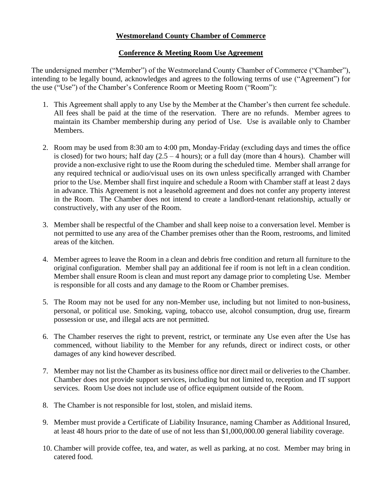## **Westmoreland County Chamber of Commerce**

## **Conference & Meeting Room Use Agreement**

The undersigned member ("Member") of the Westmoreland County Chamber of Commerce ("Chamber"), intending to be legally bound, acknowledges and agrees to the following terms of use ("Agreement") for the use ("Use") of the Chamber's Conference Room or Meeting Room ("Room"):

- 1. This Agreement shall apply to any Use by the Member at the Chamber's then current fee schedule. All fees shall be paid at the time of the reservation. There are no refunds. Member agrees to maintain its Chamber membership during any period of Use. Use is available only to Chamber Members.
- 2. Room may be used from 8:30 am to 4:00 pm, Monday-Friday (excluding days and times the office is closed) for two hours; half day  $(2.5 - 4$  hours); or a full day (more than 4 hours). Chamber will provide a non-exclusive right to use the Room during the scheduled time. Member shall arrange for any required technical or audio/visual uses on its own unless specifically arranged with Chamber prior to the Use. Member shall first inquire and schedule a Room with Chamber staff at least 2 days in advance. This Agreement is not a leasehold agreement and does not confer any property interest in the Room. The Chamber does not intend to create a landlord-tenant relationship, actually or constructively, with any user of the Room.
- 3. Member shall be respectful of the Chamber and shall keep noise to a conversation level. Member is not permitted to use any area of the Chamber premises other than the Room, restrooms, and limited areas of the kitchen.
- 4. Member agrees to leave the Room in a clean and debris free condition and return all furniture to the original configuration. Member shall pay an additional fee if room is not left in a clean condition. Member shall ensure Room is clean and must report any damage prior to completing Use. Member is responsible for all costs and any damage to the Room or Chamber premises.
- 5. The Room may not be used for any non-Member use, including but not limited to non-business, personal, or political use. Smoking, vaping, tobacco use, alcohol consumption, drug use, firearm possession or use, and illegal acts are not permitted.
- 6. The Chamber reserves the right to prevent, restrict, or terminate any Use even after the Use has commenced, without liability to the Member for any refunds, direct or indirect costs, or other damages of any kind however described.
- 7. Member may not list the Chamber as its business office nor direct mail or deliveries to the Chamber. Chamber does not provide support services, including but not limited to, reception and IT support services. Room Use does not include use of office equipment outside of the Room.
- 8. The Chamber is not responsible for lost, stolen, and mislaid items.
- 9. Member must provide a Certificate of Liability Insurance, naming Chamber as Additional Insured, at least 48 hours prior to the date of use of not less than \$1,000,000.00 general liability coverage.
- 10. Chamber will provide coffee, tea, and water, as well as parking, at no cost. Member may bring in catered food.